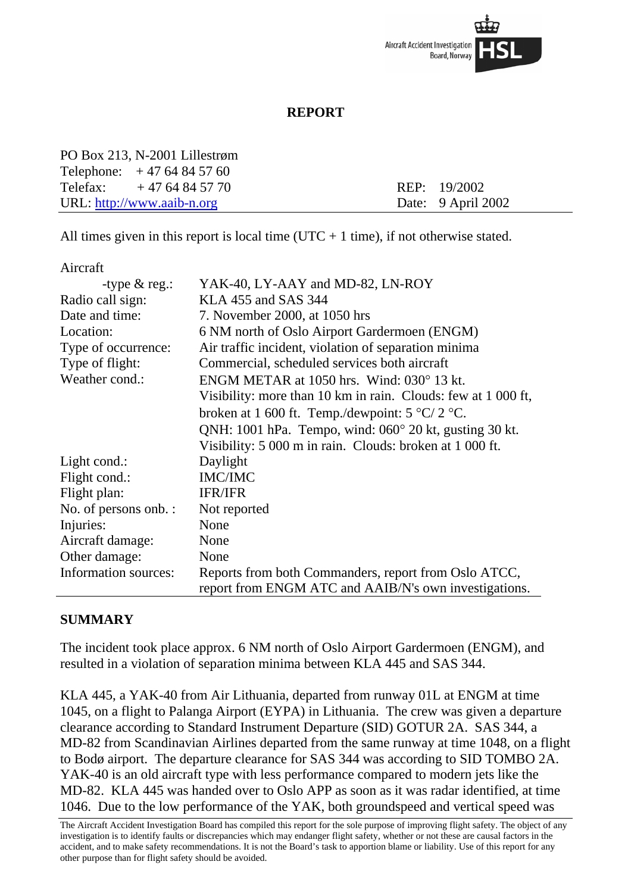

## **REPORT**

| PO Box 213, N-2001 Lillestrøm |                    |
|-------------------------------|--------------------|
| Telephone: $+4764845760$      |                    |
| Telefax: $+4764845770$        | REP: 19/2002       |
| URL: $http://www.aaib-n.org$  | Date: 9 April 2002 |

All times given in this report is local time ( $UTC + 1$  time), if not otherwise stated.

Aircraft

| -type $& \text{reg.}:$ | YAK-40, LY-AAY and MD-82, LN-ROY                                  |
|------------------------|-------------------------------------------------------------------|
| Radio call sign:       | KLA 455 and SAS 344                                               |
| Date and time:         | 7. November 2000, at 1050 hrs                                     |
| Location:              | 6 NM north of Oslo Airport Gardermoen (ENGM)                      |
| Type of occurrence:    | Air traffic incident, violation of separation minima              |
| Type of flight:        | Commercial, scheduled services both aircraft                      |
| Weather cond.:         | ENGM METAR at 1050 hrs. Wind: 030° 13 kt.                         |
|                        | Visibility: more than 10 km in rain. Clouds: few at 1 000 ft,     |
|                        | broken at 1 600 ft. Temp./dewpoint: $5 \degree C / 2 \degree C$ . |
|                        | QNH: 1001 hPa. Tempo, wind: 060° 20 kt, gusting 30 kt.            |
|                        | Visibility: 5 000 m in rain. Clouds: broken at 1 000 ft.          |
| Light cond.:           | Daylight                                                          |
| Flight cond.:          | <b>IMC/IMC</b>                                                    |
| Flight plan:           | <b>IFR/IFR</b>                                                    |
| No. of persons onb. :  | Not reported                                                      |
| Injuries:              | None                                                              |
| Aircraft damage:       | None                                                              |
| Other damage:          | None                                                              |
| Information sources:   | Reports from both Commanders, report from Oslo ATCC,              |
|                        | report from ENGM ATC and AAIB/N's own investigations.             |

## **SUMMARY**

The incident took place approx. 6 NM north of Oslo Airport Gardermoen (ENGM), and resulted in a violation of separation minima between KLA 445 and SAS 344.

KLA 445, a YAK-40 from Air Lithuania, departed from runway 01L at ENGM at time 1045, on a flight to Palanga Airport (EYPA) in Lithuania. The crew was given a departure clearance according to Standard Instrument Departure (SID) GOTUR 2A. SAS 344, a MD-82 from Scandinavian Airlines departed from the same runway at time 1048, on a flight to Bodø airport. The departure clearance for SAS 344 was according to SID TOMBO 2A. YAK-40 is an old aircraft type with less performance compared to modern jets like the MD-82. KLA 445 was handed over to Oslo APP as soon as it was radar identified, at time 1046. Due to the low performance of the YAK, both groundspeed and vertical speed was

The Aircraft Accident Investigation Board has compiled this report for the sole purpose of improving flight safety. The object of any investigation is to identify faults or discrepancies which may endanger flight safety, whether or not these are causal factors in the accident, and to make safety recommendations. It is not the Board's task to apportion blame or liability. Use of this report for any other purpose than for flight safety should be avoided.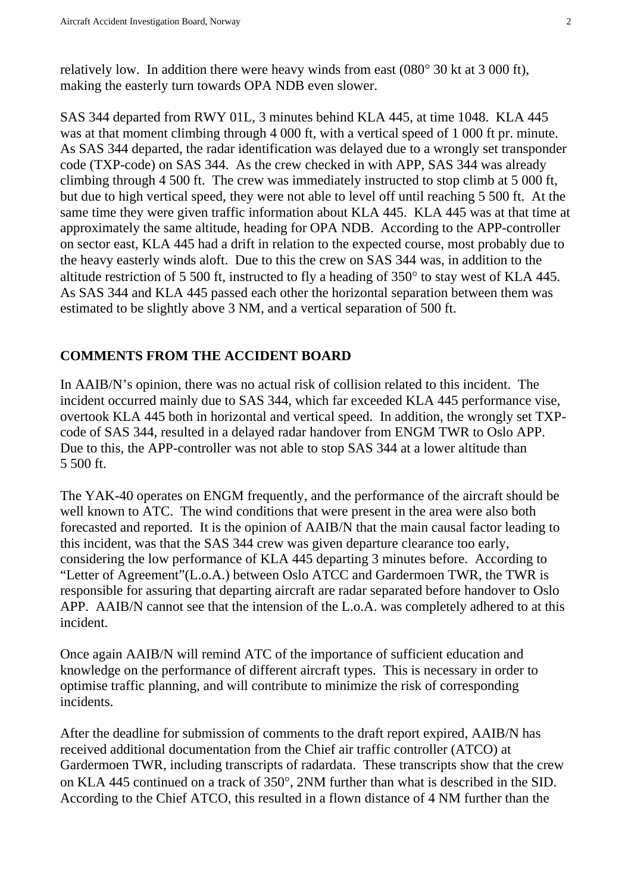relatively low. In addition there were heavy winds from east (080° 30 kt at 3 000 ft), making the easterly turn towards OPA NDB even slower.

SAS 344 departed from RWY 01L, 3 minutes behind KLA 445, at time 1048. KLA 445 was at that moment climbing through 4 000 ft, with a vertical speed of 1 000 ft pr. minute. As SAS 344 departed, the radar identification was delayed due to a wrongly set transponder code (TXP-code) on SAS 344. As the crew checked in with APP, SAS 344 was already climbing through 4 500 ft. The crew was immediately instructed to stop climb at 5 000 ft, but due to high vertical speed, they were not able to level off until reaching 5 500 ft. At the same time they were given traffic information about KLA 445. KLA 445 was at that time at approximately the same altitude, heading for OPA NDB. According to the APP-controller on sector east, KLA 445 had a drift in relation to the expected course, most probably due to the heavy easterly winds aloft. Due to this the crew on SAS 344 was, in addition to the altitude restriction of 5 500 ft, instructed to fly a heading of 350° to stay west of KLA 445. As SAS 344 and KLA 445 passed each other the horizontal separation between them was estimated to be slightly above 3 NM, and a vertical separation of 500 ft.

## **COMMENTS FROM THE ACCIDENT BOARD**

In AAIB/N's opinion, there was no actual risk of collision related to this incident. The incident occurred mainly due to SAS 344, which far exceeded KLA 445 performance vise, overtook KLA 445 both in horizontal and vertical speed. In addition, the wrongly set TXPcode of SAS 344, resulted in a delayed radar handover from ENGM TWR to Oslo APP. Due to this, the APP-controller was not able to stop SAS 344 at a lower altitude than 5 500 ft.

The YAK-40 operates on ENGM frequently, and the performance of the aircraft should be well known to ATC. The wind conditions that were present in the area were also both forecasted and reported. It is the opinion of AAIB/N that the main causal factor leading to this incident, was that the SAS 344 crew was given departure clearance too early, considering the low performance of KLA 445 departing 3 minutes before. According to "Letter of Agreement"(L.o.A.) between Oslo ATCC and Gardermoen TWR, the TWR is responsible for assuring that departing aircraft are radar separated before handover to Oslo APP. AAIB/N cannot see that the intension of the L.o.A. was completely adhered to at this incident.

Once again AAIB/N will remind ATC of the importance of sufficient education and knowledge on the performance of different aircraft types. This is necessary in order to optimise traffic planning, and will contribute to minimize the risk of corresponding incidents.

After the deadline for submission of comments to the draft report expired, AAIB/N has received additional documentation from the Chief air traffic controller (ATCO) at Gardermoen TWR, including transcripts of radardata. These transcripts show that the crew on KLA 445 continued on a track of 350°, 2NM further than what is described in the SID. According to the Chief ATCO, this resulted in a flown distance of 4 NM further than the